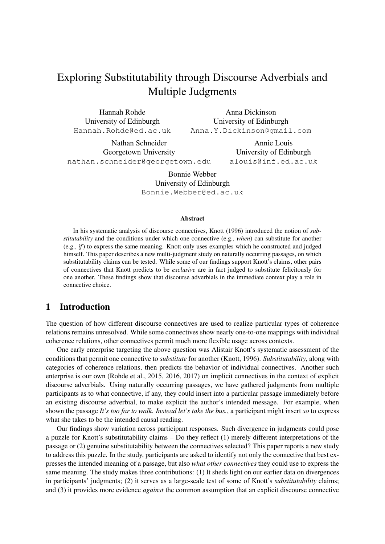# Exploring Substitutability through Discourse Adverbials and Multiple Judgments

Hannah Rohde University of Edinburgh Hannah.Rohde@ed.ac.uk

Anna Dickinson University of Edinburgh Anna.Y.Dickinson@gmail.com

Nathan Schneider Georgetown University nathan.schneider@georgetown.edu

Annie Louis University of Edinburgh alouis@inf.ed.ac.uk

Bonnie Webber University of Edinburgh Bonnie.Webber@ed.ac.uk

#### Abstract

In his systematic analysis of discourse connectives, Knott (1996) introduced the notion of *substitutability* and the conditions under which one connective (e.g., *when*) can substitute for another (e.g., *if*) to express the same meaning. Knott only uses examples which he constructed and judged himself. This paper describes a new multi-judgment study on naturally occurring passages, on which substitutability claims can be tested. While some of our findings support Knott's claims, other pairs of connectives that Knott predicts to be *exclusive* are in fact judged to substitute felicitously for one another. These findings show that discourse adverbials in the immediate context play a role in connective choice.

### 1 Introduction

The question of how different discourse connectives are used to realize particular types of coherence relations remains unresolved. While some connectives show nearly one-to-one mappings with individual coherence relations, other connectives permit much more flexible usage across contexts.

One early enterprise targeting the above question was Alistair Knott's systematic assessment of the conditions that permit one connective to *substitute* for another (Knott, 1996). *Substitutability*, along with categories of coherence relations, then predicts the behavior of individual connectives. Another such enterprise is our own (Rohde et al., 2015, 2016, 2017) on implicit connectives in the context of explicit discourse adverbials. Using naturally occurring passages, we have gathered judgments from multiple participants as to what connective, if any, they could insert into a particular passage immediately before an existing discourse adverbial, to make explicit the author's intended message. For example, when shown the passage *It's too far to walk. Instead let's take the bus.*, a participant might insert *so* to express what she takes to be the intended causal reading.

Our findings show variation across participant responses. Such divergence in judgments could pose a puzzle for Knott's substitutability claims – Do they reflect (1) merely different interpretations of the passage or (2) genuine substitutability between the connectives selected? This paper reports a new study to address this puzzle. In the study, participants are asked to identify not only the connective that best expresses the intended meaning of a passage, but also *what other connectives* they could use to express the same meaning. The study makes three contributions: (1) It sheds light on our earlier data on divergences in participants' judgments; (2) it serves as a large-scale test of some of Knott's *substitutability* claims; and (3) it provides more evidence *against* the common assumption that an explicit discourse connective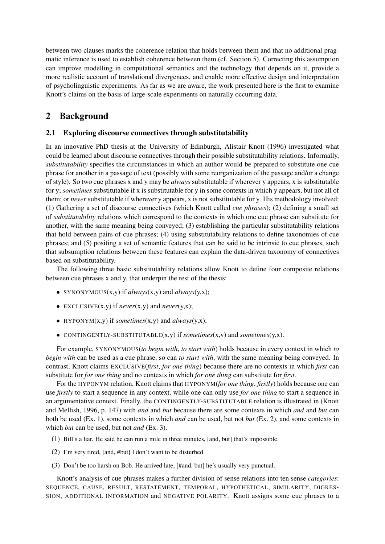between two clauses marks the coherence relation that holds between them and that no additional pragmatic inference is used to establish coherence between them (cf. Section 5). Correcting this assumption can improve modelling in computational semantics and the technology that depends on it, provide a more realistic account of translational divergences, and enable more effective design and interpretation of psycholinguistic experiments. As far as we are aware, the work presented here is the first to examine Knott's claims on the basis of large-scale experiments on naturally occurring data.

## 2 Background

### 2.1 Exploring discourse connectives through substitutability

In an innovative PhD thesis at the University of Edinburgh, Alistair Knott (1996) investigated what could be learned about discourse connectives through their possible substitutability relations. Informally, *substitutability* specifies the circumstances in which an author would be prepared to substitute one cue phrase for another in a passage of text (possibly with some reorganization of the passage and/or a change of style). So two cue phrases x and y may be *always* substitutable if wherever y appears, x is substitutable for y; *sometimes* substitutable if x is substitutable for y in some contexts in which y appears, but not all of them; or *never* substitutable if wherever y appears, x is not substitutable for y. His methodology involved: (1) Gathering a set of discourse connectives (which Knott called *cue phrases*); (2) defining a small set of *substitutability* relations which correspond to the contexts in which one cue phrase can substitute for another, with the same meaning being conveyed; (3) establishing the particular substitutability relations that hold between pairs of cue phrases; (4) using substitutability relations to define taxonomies of cue phrases; and (5) positing a set of semantic features that can be said to be intrinsic to cue phrases, such that subsumption relations between these features can explain the data-driven taxonomy of connectives based on substitutability.

The following three basic substitutability relations allow Knott to define four composite relations between cue phrases x and y, that underpin the rest of the thesis:

- SYNONYMOUS(x,y) if *always*(x,y) and *always*(y,x);
- EXCLUSIVE(x,y) if *never*(x,y) and *never*(y,x);
- HYPONYM(x,y) if *sometimes*(x,y) and *always*(y,x);
- CONTINGENTLY-SUBSTITUTABLE(x,y) if *sometimes*(x,y) and *sometimes*(y,x).

For example, SYNONYMOUS(*to begin with*, *to start with*) holds because in every context in which *to begin with* can be used as a cue phrase, so can *to start with*, with the same meaning being conveyed. In contrast, Knott claims EXCLUSIVE(*first*, *for one thing*) because there are no contexts in which *first* can substitute for *for one thing* and no contexts in which *for one thing* can substitute for *first*.

For the HYPONYM relation, Knott claims that HYPONYM(*for one thing*, *firstly*) holds because one can use *firstly* to start a sequence in any context, while one can only use *for one thing* to start a sequence in an argumentative context. Finally, the CONTINGENTLY-SUBSTITUTABLE relation is illustrated in (Knott and Mellish, 1996, p. 147) with *and* and *but* because there are some contexts in which *and* and *but* can both be used (Ex. 1), some contexts in which *and* can be used, but not *but* (Ex. 2), and some contexts in which *but* can be used, but not *and* (Ex. 3).

- (1) Bill's a liar. He said he can run a mile in three minutes, [and, but] that's impossible.
- (2) I'm very tired, [and, #but] I don't want to be disturbed.
- (3) Don't be too harsh on Bob. He arrived late, [#and, but] he's usually very punctual.

Knott's analysis of cue phrases makes a further division of sense relations into ten sense *categories*: SEQUENCE, CAUSE, RESULT, RESTATEMENT, TEMPORAL, HYPOTHETICAL, SIMILARITY, DIGRES-SION, ADDITIONAL INFORMATION and NEGATIVE POLARITY. Knott assigns some cue phrases to a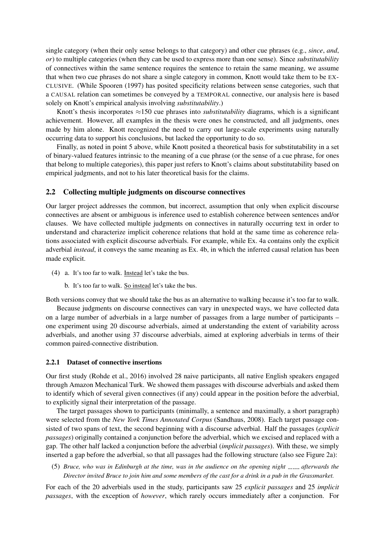single category (when their only sense belongs to that category) and other cue phrases (e.g., *since*, *and*, *or*) to multiple categories (when they can be used to express more than one sense). Since *substitutability* of connectives within the same sentence requires the sentence to retain the same meaning, we assume that when two cue phrases do not share a single category in common, Knott would take them to be EX-CLUSIVE. (While Spooren (1997) has posited specificity relations between sense categories, such that a CAUSAL relation can sometimes be conveyed by a TEMPORAL connective, our analysis here is based solely on Knott's empirical analysis involving *substitutability*.)

Knott's thesis incorporates ≈150 cue phrases into *substitutability* diagrams, which is a significant achievement. However, all examples in the thesis were ones he constructed, and all judgments, ones made by him alone. Knott recognized the need to carry out large-scale experiments using naturally occurring data to support his conclusions, but lacked the opportunity to do so.

Finally, as noted in point 5 above, while Knott posited a theoretical basis for substitutability in a set of binary-valued features intrinsic to the meaning of a cue phrase (or the sense of a cue phrase, for ones that belong to multiple categories), this paper just refers to Knott's claims about substitutability based on empirical judgments, and not to his later theoretical basis for the claims.

#### 2.2 Collecting multiple judgments on discourse connectives

Our larger project addresses the common, but incorrect, assumption that only when explicit discourse connectives are absent or ambiguous is inference used to establish coherence between sentences and/or clauses. We have collected multiple judgments on connectives in naturally occurring text in order to understand and characterize implicit coherence relations that hold at the same time as coherence relations associated with explicit discourse adverbials. For example, while Ex. 4a contains only the explicit adverbial *instead*, it conveys the same meaning as Ex. 4b, in which the inferred causal relation has been made explicit.

- (4) a. It's too far to walk. Instead let's take the bus.
	- b. It's too far to walk. So instead let's take the bus.

Both versions convey that we should take the bus as an alternative to walking because it's too far to walk.

Because judgments on discourse connectives can vary in unexpected ways, we have collected data on a large number of adverbials in a large number of passages from a large number of participants – one experiment using 20 discourse adverbials, aimed at understanding the extent of variability across adverbials, and another using 37 discourse adverbials, aimed at exploring adverbials in terms of their common paired-connective distribution.

#### 2.2.1 Dataset of connective insertions

Our first study (Rohde et al., 2016) involved 28 naive participants, all native English speakers engaged through Amazon Mechanical Turk. We showed them passages with discourse adverbials and asked them to identify which of several given connectives (if any) could appear in the position before the adverbial, to explicitly signal their interpretation of the passage.

The target passages shown to participants (minimally, a sentence and maximally, a short paragraph) were selected from the *New York Times Annotated Corpus* (Sandhaus, 2008). Each target passage consisted of two spans of text, the second beginning with a discourse adverbial. Half the passages (*explicit passages*) originally contained a conjunction before the adverbial, which we excised and replaced with a gap. The other half lacked a conjunction before the adverbial (*implicit passages*). With these, we simply inserted a gap before the adverbial, so that all passages had the following structure (also see Figure 2a):

(5) *Bruce, who was in Edinburgh at the time, was in the audience on the opening night afterwards the Director invited Bruce to join him and some members of the cast for a drink in a pub in the Grassmarket.*

For each of the 20 adverbials used in the study, participants saw 25 *explicit passages* and 25 *implicit passages*, with the exception of *however*, which rarely occurs immediately after a conjunction. For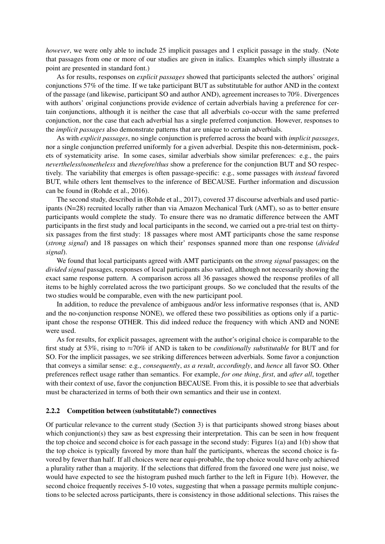*however*, we were only able to include 25 implicit passages and 1 explicit passage in the study. (Note that passages from one or more of our studies are given in italics. Examples which simply illustrate a point are presented in standard font.)

As for results, responses on *explicit passages* showed that participants selected the authors' original conjunctions 57% of the time. If we take participant BUT as substitutable for author AND in the context of the passage (and likewise, participant SO and author AND), agreement increases to 70%. Divergences with authors' original conjunctions provide evidence of certain adverbials having a preference for certain conjunctions, although it is neither the case that all adverbials co-occur with the same preferred conjunction, nor the case that each adverbial has a single preferred conjunction. However, responses to the *implicit passages* also demonstrate patterns that are unique to certain adverbials.

As with *explicit passages*, no single conjunction is preferred across the board with *implicit passages*, nor a single conjunction preferred uniformly for a given adverbial. Despite this non-determinism, pockets of systematicity arise. In some cases, similar adverbials show similar preferences: e.g., the pairs *nevertheless*/*nonetheless* and *therefore*/*thus* show a preference for the conjunction BUT and SO respectively. The variability that emerges is often passage-specific: e.g., some passages with *instead* favored BUT, while others lent themselves to the inference of BECAUSE. Further information and discussion can be found in (Rohde et al., 2016).

The second study, described in (Rohde et al., 2017), covered 37 discourse adverbials and used participants (N=28) recruited locally rather than via Amazon Mechanical Turk (AMT), so as to better ensure participants would complete the study. To ensure there was no dramatic difference between the AMT participants in the first study and local participants in the second, we carried out a pre-trial test on thirtysix passages from the first study: 18 passages where most AMT participants chose the same response (*strong signal*) and 18 passages on which their' responses spanned more than one response (*divided signal*).

We found that local participants agreed with AMT participants on the *strong signal* passages; on the *divided signal* passages, responses of local participants also varied, although not necessarily showing the exact same response pattern. A comparison across all 36 passages showed the response profiles of all items to be highly correlated across the two participant groups. So we concluded that the results of the two studies would be comparable, even with the new participant pool.

In addition, to reduce the prevalence of ambiguous and/or less informative responses (that is, AND and the no-conjunction response NONE), we offered these two possibilities as options only if a participant chose the response OTHER. This did indeed reduce the frequency with which AND and NONE were used.

As for results, for explicit passages, agreement with the author's original choice is comparable to the first study at 53%, rising to ≈70% if AND is taken to be *conditionally substitutable* for BUT and for SO. For the implicit passages, we see striking differences between adverbials. Some favor a conjunction that conveys a similar sense: e.g., *consequently*, *as a result*, *accordingly*, and *hence* all favor SO. Other preferences reflect usage rather than semantics. For example, *for one thing*, *first*, and *after all*, together with their context of use, favor the conjunction BECAUSE. From this, it is possible to see that adverbials must be characterized in terms of both their own semantics and their use in context.

#### 2.2.2 Competition between (substitutable?) connectives

Of particular relevance to the current study (Section 3) is that participants showed strong biases about which conjunction(s) they saw as best expressing their interpretation. This can be seen in how frequent the top choice and second choice is for each passage in the second study: Figures 1(a) and 1(b) show that the top choice is typically favored by more than half the participants, whereas the second choice is favored by fewer than half. If all choices were near equi-probable, the top choice would have only achieved a plurality rather than a majority. If the selections that differed from the favored one were just noise, we would have expected to see the histogram pushed much farther to the left in Figure 1(b). However, the second choice frequently receives 5-10 votes, suggesting that when a passage permits multiple conjunctions to be selected across participants, there is consistency in those additional selections. This raises the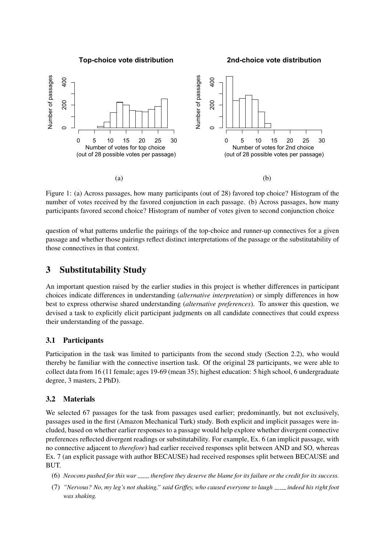**Top-choice vote distribution**

**2nd-choice vote distribution**



Figure 1: (a) Across passages, how many participants (out of 28) favored top choice? Histogram of the number of votes received by the favored conjunction in each passage. (b) Across passages, how many participants favored second choice? Histogram of number of votes given to second conjunction choice

question of what patterns underlie the pairings of the top-choice and runner-up connectives for a given passage and whether those pairings reflect distinct interpretations of the passage or the substitutability of those connectives in that context.

### 3 Substitutability Study

An important question raised by the earlier studies in this project is whether differences in participant choices indicate differences in understanding (*alternative interpretation*) or simply differences in how best to express otherwise shared understanding (*alternative preferences*). To answer this question, we devised a task to explicitly elicit participant judgments on all candidate connectives that could express their understanding of the passage.

#### 3.1 Participants

Participation in the task was limited to participants from the second study (Section 2.2), who would thereby be familiar with the connective insertion task. Of the original 28 participants, we were able to collect data from 16 (11 female; ages 19-69 (mean 35); highest education: 5 high school, 6 undergraduate degree, 3 masters, 2 PhD).

#### 3.2 Materials

We selected 67 passages for the task from passages used earlier; predominantly, but not exclusively, passages used in the first (Amazon Mechanical Turk) study. Both explicit and implicit passages were included, based on whether earlier responses to a passage would help explore whether divergent connective preferences reflected divergent readings or substitutability. For example, Ex. 6 (an implicit passage, with no connective adjacent to *therefore*) had earlier received responses split between AND and SO, whereas Ex. 7 (an explicit passage with author BECAUSE) had received responses split between BECAUSE and BUT.

- (6) *Neocons pushed for this war therefore they deserve the blame for its failure or the credit for its success.*
- (7) *"Nervous? No, my leg's not shaking," said Griffey, who caused everyone to laugh indeed his right foot was shaking.*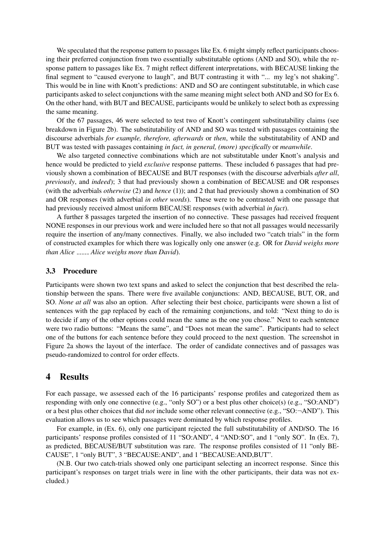We speculated that the response pattern to passages like Ex. 6 might simply reflect participants choosing their preferred conjunction from two essentially substitutable options (AND and SO), while the response pattern to passages like Ex. 7 might reflect different interpretations, with BECAUSE linking the final segment to "caused everyone to laugh", and BUT contrasting it with "... my leg's not shaking". This would be in line with Knott's predictions: AND and SO are contingent substitutable, in which case participants asked to select conjunctions with the same meaning might select both AND and SO for Ex 6. On the other hand, with BUT and BECAUSE, participants would be unlikely to select both as expressing the same meaning.

Of the 67 passages, 46 were selected to test two of Knott's contingent substitutability claims (see breakdown in Figure 2b). The substitutability of AND and SO was tested with passages containing the discourse adverbials *for example, therefore, afterwards* or *then*, while the substitutability of AND and BUT was tested with passages containing *in fact, in general, (more) specifically* or *meanwhile*.

We also targeted connective combinations which are not substitutable under Knott's analysis and hence would be predicted to yield *exclusive* response patterns. These included 6 passages that had previously shown a combination of BECAUSE and BUT responses (with the discourse adverbials *after all*, *previously*, and *indeed*); 3 that had previously shown a combination of BECAUSE and OR responses (with the adverbials *otherwise* (2) and *hence* (1)); and 2 that had previously shown a combination of SO and OR responses (with adverbial *in other words*). These were to be contrasted with one passage that had previously received almost uniform BECAUSE responses (with adverbial *in fact*).

A further 8 passages targeted the insertion of no connective. These passages had received frequent NONE responses in our previous work and were included here so that not all passages would necessarily require the insertion of any/many connectives. Finally, we also included two "catch trials" in the form of constructed examples for which there was logically only one answer (e.g. OR for *David weighs more than Alice Alice weighs more than David*).

#### 3.3 Procedure

Participants were shown two text spans and asked to select the conjunction that best described the relationship between the spans. There were five available conjunctions: AND, BECAUSE, BUT, OR, and SO. *None at all* was also an option. After selecting their best choice, participants were shown a list of sentences with the gap replaced by each of the remaining conjunctions, and told: "Next thing to do is to decide if any of the other options could mean the same as the one you chose." Next to each sentence were two radio buttons: "Means the same", and "Does not mean the same". Participants had to select one of the buttons for each sentence before they could proceed to the next question. The screenshot in Figure 2a shows the layout of the interface. The order of candidate connectives and of passages was pseudo-randomized to control for order effects.

#### 4 Results

For each passage, we assessed each of the 16 participants' response profiles and categorized them as responding with only one connective (e.g., "only SO") or a best plus other choice(s) (e.g., "SO:AND") or a best plus other choices that did *not* include some other relevant connective (e.g., "SO:¬AND"). This evaluation allows us to see which passages were dominated by which response profiles.

For example, in (Ex. 6), only one participant rejected the full substitutability of AND/SO. The 16 participants' response profiles consisted of 11 "SO:AND", 4 "AND:SO", and 1 "only SO". In (Ex. 7), as predicted, BECAUSE/BUT substitution was rare. The response profiles consisted of 11 "only BE-CAUSE", 1 "only BUT", 3 "BECAUSE:AND", and 1 "BECAUSE:AND,BUT".

(N.B. Our two catch-trials showed only one participant selecting an incorrect response. Since this participant's responses on target trials were in line with the other participants, their data was not excluded.)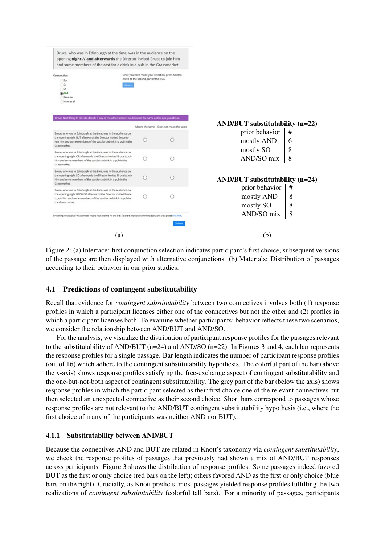

Figure 2: (a) Interface: first conjunction selection indicates participant's first choice; subsequent versions of the passage are then displayed with alternative conjunctions. (b) Materials: Distribution of passages according to their behavior in our prior studies.

### 4.1 Predictions of contingent substitutability

Recall that evidence for *contingent substitutability* between two connectives involves both (1) response profiles in which a participant licenses either one of the connectives but not the other and (2) profiles in which a participant licenses both. To examine whether participants' behavior reflects these two scenarios, we consider the relationship between AND/BUT and AND/SO.

For the analysis, we visualize the distribution of participant response profiles for the passages relevant to the substitutability of AND/BUT (n=24) and AND/SO (n=22). In Figures 3 and 4, each bar represents the response profiles for a single passage. Bar length indicates the number of participant response profiles (out of 16) which adhere to the contingent substitutability hypothesis. The colorful part of the bar (above the x-axis) shows response profiles satisfying the free-exchange aspect of contingent substitutability and the one-but-not-both aspect of contingent substitutability. The grey part of the bar (below the axis) shows response profiles in which the participant selected as their first choice one of the relevant connectives but then selected an unexpected connective as their second choice. Short bars correspond to passages whose response profiles are not relevant to the AND/BUT contingent substitutability hypothesis (i.e., where the first choice of many of the participants was neither AND nor BUT).

#### 4.1.1 Substitutability between AND/BUT

Because the connectives AND and BUT are related in Knott's taxonomy via *contingent substitutability*, we check the response profiles of passages that previously had shown a mix of AND/BUT responses across participants. Figure 3 shows the distribution of response profiles. Some passages indeed favored BUT as the first or only choice (red bars on the left); others favored AND as the first or only choice (blue bars on the right). Crucially, as Knott predicts, most passages yielded response profiles fulfilling the two realizations of *contingent substitutability* (colorful tall bars). For a minority of passages, participants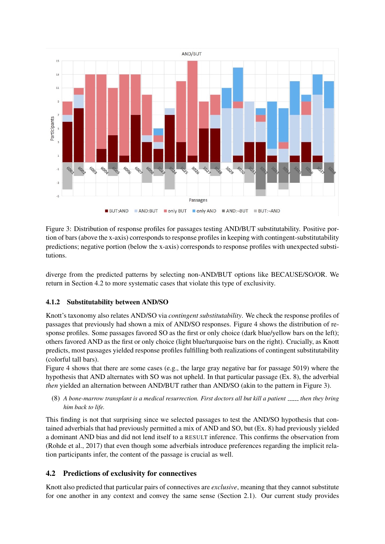

Figure 3: Distribution of response profiles for passages testing AND/BUT substitutability. Positive portion of bars (above the x-axis) corresponds to response profiles in keeping with contingent-substitutability predictions; negative portion (below the x-axis) corresponds to response profiles with unexpected substitutions.

diverge from the predicted patterns by selecting non-AND/BUT options like BECAUSE/SO/OR. We return in Section 4.2 to more systematic cases that violate this type of exclusivity.

#### 4.1.2 Substitutability between AND/SO

Knott's taxonomy also relates AND/SO via *contingent substitutability*. We check the response profiles of passages that previously had shown a mix of AND/SO responses. Figure 4 shows the distribution of response profiles. Some passages favored SO as the first or only choice (dark blue/yellow bars on the left); others favored AND as the first or only choice (light blue/turquoise bars on the right). Crucially, as Knott predicts, most passages yielded response profiles fulfilling both realizations of contingent substitutability (colorful tall bars).

Figure 4 shows that there are some cases (e.g., the large gray negative bar for passage 5019) where the hypothesis that AND alternates with SO was not upheld. In that particular passage (Ex. 8), the adverbial *then* yielded an alternation between AND/BUT rather than AND/SO (akin to the pattern in Figure 3).

(8) *A bone-marrow transplant is a medical resurrection. First doctors all but kill a patient then they bring him back to life.*

This finding is not that surprising since we selected passages to test the AND/SO hypothesis that contained adverbials that had previously permitted a mix of AND and SO, but (Ex. 8) had previously yielded a dominant AND bias and did not lend itself to a RESULT inference. This confirms the observation from (Rohde et al., 2017) that even though some adverbials introduce preferences regarding the implicit relation participants infer, the content of the passage is crucial as well.

### 4.2 Predictions of exclusivity for connectives

Knott also predicted that particular pairs of connectives are *exclusive*, meaning that they cannot substitute for one another in any context and convey the same sense (Section 2.1). Our current study provides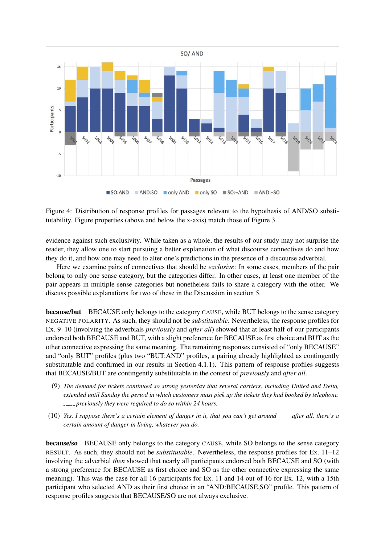

Figure 4: Distribution of response profiles for passages relevant to the hypothesis of AND/SO substitutability. Figure properties (above and below the x-axis) match those of Figure 3.

evidence against such exclusivity. While taken as a whole, the results of our study may not surprise the reader, they allow one to start pursuing a better explanation of what discourse connectives do and how they do it, and how one may need to alter one's predictions in the presence of a discourse adverbial.

Here we examine pairs of connectives that should be *exclusive*: In some cases, members of the pair belong to only one sense category, but the categories differ. In other cases, at least one member of the pair appears in multiple sense categories but nonetheless fails to share a category with the other. We discuss possible explanations for two of these in the Discussion in section 5.

because/but BECAUSE only belongs to the category CAUSE, while BUT belongs to the sense category NEGATIVE POLARITY. As such, they should not be *substitutable*. Nevertheless, the response profiles for Ex. 9–10 (involving the adverbials *previously* and *after all*) showed that at least half of our participants endorsed both BECAUSE and BUT, with a slight preference for BECAUSE as first choice and BUT as the other connective expressing the same meaning. The remaining responses consisted of "only BECAUSE" and "only BUT" profiles (plus two "BUT:AND" profiles, a pairing already highlighted as contingently substitutable and confirmed in our results in Section 4.1.1). This pattern of response profiles suggests that BECAUSE/BUT are contingently substitutable in the context of *previously* and *after all*.

- (9) *The demand for tickets continued so strong yesterday that several carriers, including United and Delta, extended until Sunday the period in which customers must pick up the tickets they had booked by telephone. previously they were required to do so within 24 hours.*
- (10) *Yes, I suppose there's a certain element of danger in it, that you can't get around after all, there's a certain amount of danger in living, whatever you do.*

because/so BECAUSE only belongs to the category CAUSE, while SO belongs to the sense category RESULT. As such, they should not be *substitutable*. Nevertheless, the response profiles for Ex. 11–12 involving the adverbial *then* showed that nearly all participants endorsed both BECAUSE and SO (with a strong preference for BECAUSE as first choice and SO as the other connective expressing the same meaning). This was the case for all 16 participants for Ex. 11 and 14 out of 16 for Ex. 12, with a 15th participant who selected AND as their first choice in an "AND:BECAUSE,SO" profile. This pattern of response profiles suggests that BECAUSE/SO are not always exclusive.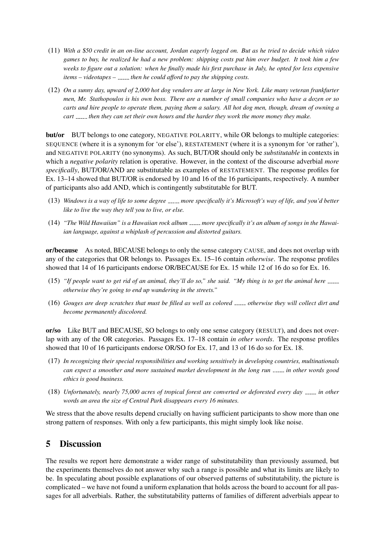- (11) *With a* \$*50 credit in an on-line account, Jordan eagerly logged on. But as he tried to decide which video games to buy, he realized he had a new problem: shipping costs put him over budget. It took him a few weeks to figure out a solution: when he finally made his first purchase in July, he opted for less expensive items – videotapes – then he could afford to pay the shipping costs.*
- (12) *On a sunny day, upward of 2,000 hot dog vendors are at large in New York. Like many veteran frankfurter men, Mr. Stathopoulos is his own boss. There are a number of small companies who have a dozen or so carts and hire people to operate them, paying them a salary. All hot dog men, though, dream of owning a cart then they can set their own hours and the harder they work the more money they make.*

but/or BUT belongs to one category, NEGATIVE POLARITY, while OR belongs to multiple categories: SEQUENCE (where it is a synonym for 'or else'), RESTATEMENT (where it is a synonym for 'or rather'), and NEGATIVE POLARITY (no synonyms). As such, BUT/OR should only be *substitutable* in contexts in which a *negative polarity* relation is operative. However, in the context of the discourse adverbial *more specifically*, BUT/OR/AND are substitutable as examples of RESTATEMENT. The response profiles for Ex. 13–14 showed that BUT/OR is endorsed by 10 and 16 of the 16 participants, respectively. A number of participants also add AND, which is contingently substitutable for BUT.

- (13) *Windows is a way of life to some degree more specifically it's Microsoft's way of life, and you'd better like to live the way they tell you to live, or else.*
- (14) *"The Wild Hawaiian" is a Hawaiian rock album more specifically it's an album of songs in the Hawaiian language, against a whiplash of percussion and distorted guitars.*

or/because As noted, BECAUSE belongs to only the sense category CAUSE, and does not overlap with any of the categories that OR belongs to. Passages Ex. 15–16 contain *otherwise*. The response profiles showed that 14 of 16 participants endorse OR/BECAUSE for Ex. 15 while 12 of 16 do so for Ex. 16.

- (15) *"If people want to get rid of an animal, they'll do so," she said. "My thing is to get the animal here otherwise they're going to end up wandering in the streets."*
- (16) Gouges are deep scratches that must be filled as well as colored *\_\_\_\_* otherwise they will collect dirt and *become permanently discolored.*

or/so Like BUT and BECAUSE, SO belongs to only one sense category (RESULT), and does not overlap with any of the OR categories. Passages Ex. 17–18 contain *in other words*. The response profiles showed that 10 of 16 participants endorse OR/SO for Ex. 17, and 13 of 16 do so for Ex. 18.

- (17) *In recognizing their special responsibilities and working sensitively in developing countries, multinationals can expect a smoother and more sustained market development in the long run in other words good ethics is good business.*
- (18) *Unfortunately, nearly 75,000 acres of tropical forest are converted or deforested every day in other words an area the size of Central Park disappears every 16 minutes.*

We stress that the above results depend crucially on having sufficient participants to show more than one strong pattern of responses. With only a few participants, this might simply look like noise.

# 5 Discussion

The results we report here demonstrate a wider range of substitutability than previously assumed, but the experiments themselves do not answer why such a range is possible and what its limits are likely to be. In speculating about possible explanations of our observed patterns of substitutability, the picture is complicated – we have not found a uniform explanation that holds across the board to account for all passages for all adverbials. Rather, the substitutability patterns of families of different adverbials appear to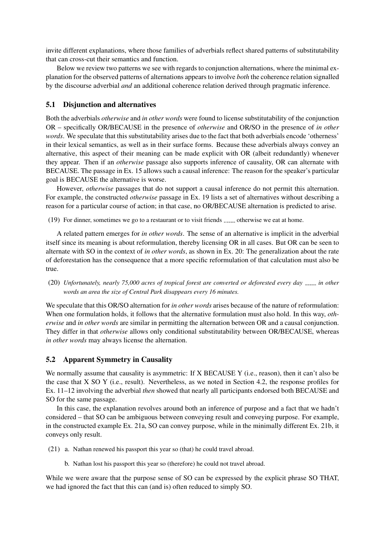invite different explanations, where those families of adverbials reflect shared patterns of substitutability that can cross-cut their semantics and function.

Below we review two patterns we see with regards to conjunction alternations, where the minimal explanation for the observed patterns of alternations appears to involve *both* the coherence relation signalled by the discourse adverbial *and* an additional coherence relation derived through pragmatic inference.

#### 5.1 Disjunction and alternatives

Both the adverbials *otherwise* and *in other words* were found to license substitutability of the conjunction OR – specifically OR/BECAUSE in the presence of *otherwise* and OR/SO in the presence of *in other words*. We speculate that this substitutability arises due to the fact that both adverbials encode 'otherness' in their lexical semantics, as well as in their surface forms. Because these adverbials always convey an alternative, this aspect of their meaning can be made explicit with OR (albeit redundantly) whenever they appear. Then if an *otherwise* passage also supports inference of causality, OR can alternate with BECAUSE. The passage in Ex. 15 allows such a causal inference: The reason for the speaker's particular goal is BECAUSE the alternative is worse.

However, *otherwise* passages that do not support a causal inference do not permit this alternation. For example, the constructed *otherwise* passage in Ex. 19 lists a set of alternatives without describing a reason for a particular course of action; in that case, no OR/BECAUSE alternation is predicted to arise.

 $(19)$  For dinner, sometimes we go to a restaurant or to visit friends  $\frac{1}{2}$  otherwise we eat at home.

A related pattern emerges for *in other words*. The sense of an alternative is implicit in the adverbial itself since its meaning is about reformulation, thereby licensing OR in all cases. But OR can be seen to alternate with SO in the context of *in other words*, as shown in Ex. 20: The generalization about the rate of deforestation has the consequence that a more specific reformulation of that calculation must also be true.

(20) *Unfortunately, nearly 75,000 acres of tropical forest are converted or deforested every day in other words an area the size of Central Park disappears every 16 minutes.*

We speculate that this OR/SO alternation for *in other words* arises because of the nature of reformulation: When one formulation holds, it follows that the alternative formulation must also hold. In this way, *otherwise* and *in other words* are similar in permitting the alternation between OR and a causal conjunction. They differ in that *otherwise* allows only conditional substitutability between OR/BECAUSE, whereas *in other words* may always license the alternation.

#### 5.2 Apparent Symmetry in Causality

We normally assume that causality is asymmetric: If X BECAUSE Y (i.e., reason), then it can't also be the case that X SO Y (i.e., result). Nevertheless, as we noted in Section 4.2, the response profiles for Ex. 11–12 involving the adverbial *then* showed that nearly all participants endorsed both BECAUSE and SO for the same passage.

In this case, the explanation revolves around both an inference of purpose and a fact that we hadn't considered – that SO can be ambiguous between conveying result and conveying purpose. For example, in the constructed example Ex. 21a, SO can convey purpose, while in the minimally different Ex. 21b, it conveys only result.

(21) a. Nathan renewed his passport this year so (that) he could travel abroad.

b. Nathan lost his passport this year so (therefore) he could not travel abroad.

While we were aware that the purpose sense of SO can be expressed by the explicit phrase SO THAT, we had ignored the fact that this can (and is) often reduced to simply SO.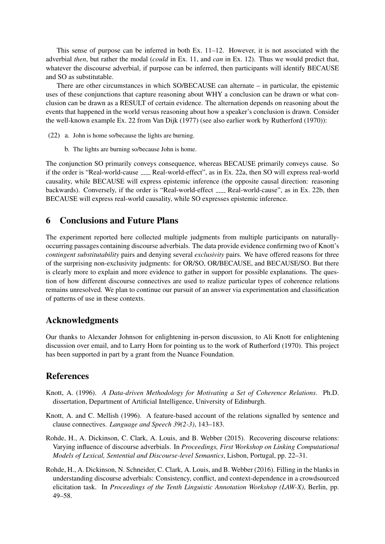This sense of purpose can be inferred in both Ex. 11–12. However, it is not associated with the adverbial *then*, but rather the modal (*could* in Ex. 11, and *can* in Ex. 12). Thus we would predict that, whatever the discourse adverbial, if purpose can be inferred, then participants will identify BECAUSE and SO as substitutable.

There are other circumstances in which SO/BECAUSE can alternate – in particular, the epistemic uses of these conjunctions that capture reasoning about WHY a conclusion can be drawn or what conclusion can be drawn as a RESULT of certain evidence. The alternation depends on reasoning about the events that happened in the world versus reasoning about how a speaker's conclusion is drawn. Consider the well-known example Ex. 22 from Van Dijk (1977) (see also earlier work by Rutherford (1970)):

- (22) a. John is home so/because the lights are burning.
	- b. The lights are burning so/because John is home.

The conjunction SO primarily conveys consequence, whereas BECAUSE primarily conveys cause. So if the order is "Real-world-cause \_\_\_\_ Real-world-effect", as in Ex. 22a, then SO will express real-world causality, while BECAUSE will express epistemic inference (the opposite causal direction: reasoning backwards). Conversely, if the order is "Real-world-effect <sub>----</sub> Real-world-cause", as in Ex. 22b, then BECAUSE will express real-world causality, while SO expresses epistemic inference.

### 6 Conclusions and Future Plans

The experiment reported here collected multiple judgments from multiple participants on naturallyoccurring passages containing discourse adverbials. The data provide evidence confirming two of Knott's *contingent substitutability* pairs and denying several *exclusivity* pairs. We have offered reasons for three of the surprising non-exclusivity judgments: for OR/SO, OR/BECAUSE, and BECAUSE/SO. But there is clearly more to explain and more evidence to gather in support for possible explanations. The question of how different discourse connectives are used to realize particular types of coherence relations remains unresolved. We plan to continue our pursuit of an answer via experimentation and classification of patterns of use in these contexts.

### Acknowledgments

Our thanks to Alexander Johnson for enlightening in-person discussion, to Ali Knott for enlightening discussion over email, and to Larry Horn for pointing us to the work of Rutherford (1970). This project has been supported in part by a grant from the Nuance Foundation.

### References

- Knott, A. (1996). *A Data-driven Methodology for Motivating a Set of Coherence Relations*. Ph.D. dissertation, Department of Artificial Intelligence, University of Edinburgh.
- Knott, A. and C. Mellish (1996). A feature-based account of the relations signalled by sentence and clause connectives. *Language and Speech 39(2-3)*, 143–183.
- Rohde, H., A. Dickinson, C. Clark, A. Louis, and B. Webber (2015). Recovering discourse relations: Varying influence of discourse adverbials. In *Proceedings, First Workshop on Linking Computational Models of Lexical, Sentential and Discourse-level Semantics*, Lisbon, Portugal, pp. 22–31.
- Rohde, H., A. Dickinson, N. Schneider, C. Clark, A. Louis, and B. Webber (2016). Filling in the blanks in understanding discourse adverbials: Consistency, conflict, and context-dependence in a crowdsourced elicitation task. In *Proceedings of the Tenth Linguistic Annotation Workshop (LAW-X)*, Berlin, pp. 49–58.